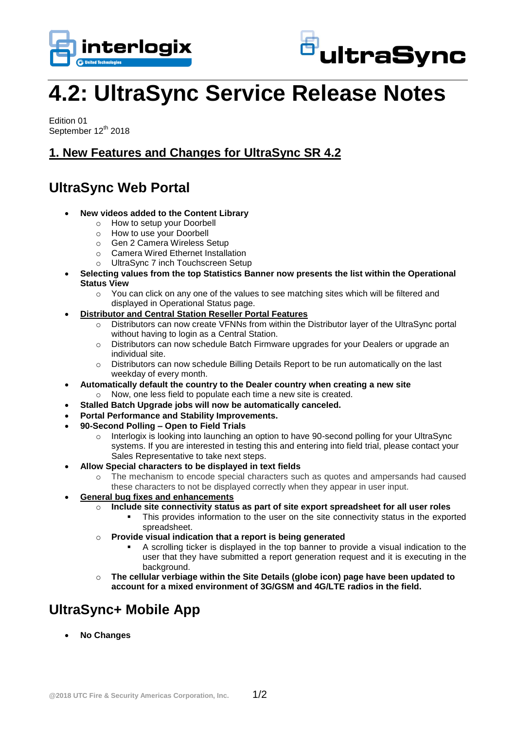



# **4.2: UltraSync Service Release Notes**

Edition 01 September 12<sup>th</sup> 2018

#### **1. New Features and Changes for UltraSync SR 4.2**

## **UltraSync Web Portal**

- **New videos added to the Content Library**
	- o How to setup your Doorbell
	- o How to use your Doorbell
	- o Gen 2 Camera Wireless Setup
	- o Camera Wired Ethernet Installation
	- o UltraSync 7 inch Touchscreen Setup
- **Selecting values from the top Statistics Banner now presents the list within the Operational Status View**
	- $\circ$  You can click on any one of the values to see matching sites which will be filtered and displayed in Operational Status page.
- **Distributor and Central Station Reseller Portal Features**
	- $\circ$  Distributors can now create VFNNs from within the Distributor layer of the UltraSync portal without having to login as a Central Station.
	- o Distributors can now schedule Batch Firmware upgrades for your Dealers or upgrade an individual site.
	- o Distributors can now schedule Billing Details Report to be run automatically on the last weekday of every month.
- **Automatically default the country to the Dealer country when creating a new site**
	- o Now, one less field to populate each time a new site is created.
- **Stalled Batch Upgrade jobs will now be automatically canceled.**
- **Portal Performance and Stability Improvements.**
- **90-Second Polling – Open to Field Trials**
	- o Interlogix is looking into launching an option to have 90-second polling for your UltraSync systems. If you are interested in testing this and entering into field trial, please contact your Sales Representative to take next steps.
- **Allow Special characters to be displayed in text fields**
	- o The mechanism to encode special characters such as quotes and ampersands had caused these characters to not be displayed correctly when they appear in user input.
- **General bug fixes and enhancements**
	- o **Include site connectivity status as part of site export spreadsheet for all user roles**
		- This provides information to the user on the site connectivity status in the exported spreadsheet.
	- o **Provide visual indication that a report is being generated**
		- A scrolling ticker is displayed in the top banner to provide a visual indication to the user that they have submitted a report generation request and it is executing in the background.
	- o **The cellular verbiage within the Site Details (globe icon) page have been updated to account for a mixed environment of 3G/GSM and 4G/LTE radios in the field.**

# **UltraSync+ Mobile App**

**No Changes**